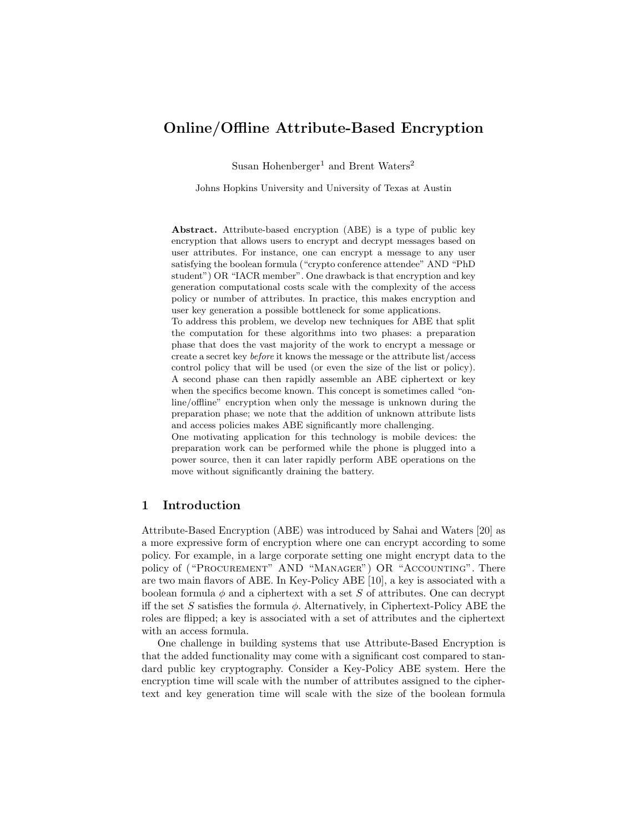# Online/Offline Attribute-Based Encryption

Susan Hohenberger<sup>1</sup> and Brent Waters<sup>2</sup>

Johns Hopkins University and University of Texas at Austin

Abstract. Attribute-based encryption (ABE) is a type of public key encryption that allows users to encrypt and decrypt messages based on user attributes. For instance, one can encrypt a message to any user satisfying the boolean formula ("crypto conference attendee" AND "PhD student") OR "IACR member". One drawback is that encryption and key generation computational costs scale with the complexity of the access policy or number of attributes. In practice, this makes encryption and user key generation a possible bottleneck for some applications.

To address this problem, we develop new techniques for ABE that split the computation for these algorithms into two phases: a preparation phase that does the vast majority of the work to encrypt a message or create a secret key before it knows the message or the attribute list/access control policy that will be used (or even the size of the list or policy). A second phase can then rapidly assemble an ABE ciphertext or key when the specifics become known. This concept is sometimes called "online/offline" encryption when only the message is unknown during the preparation phase; we note that the addition of unknown attribute lists and access policies makes ABE significantly more challenging.

One motivating application for this technology is mobile devices: the preparation work can be performed while the phone is plugged into a power source, then it can later rapidly perform ABE operations on the move without significantly draining the battery.

# 1 Introduction

Attribute-Based Encryption (ABE) was introduced by Sahai and Waters [20] as a more expressive form of encryption where one can encrypt according to some policy. For example, in a large corporate setting one might encrypt data to the policy of ("PROCUREMENT" AND "MANAGER") OR "ACCOUNTING". There are two main flavors of ABE. In Key-Policy ABE [10], a key is associated with a boolean formula  $\phi$  and a ciphertext with a set S of attributes. One can decrypt iff the set S satisfies the formula  $\phi$ . Alternatively, in Ciphertext-Policy ABE the roles are flipped; a key is associated with a set of attributes and the ciphertext with an access formula.

One challenge in building systems that use Attribute-Based Encryption is that the added functionality may come with a significant cost compared to standard public key cryptography. Consider a Key-Policy ABE system. Here the encryption time will scale with the number of attributes assigned to the ciphertext and key generation time will scale with the size of the boolean formula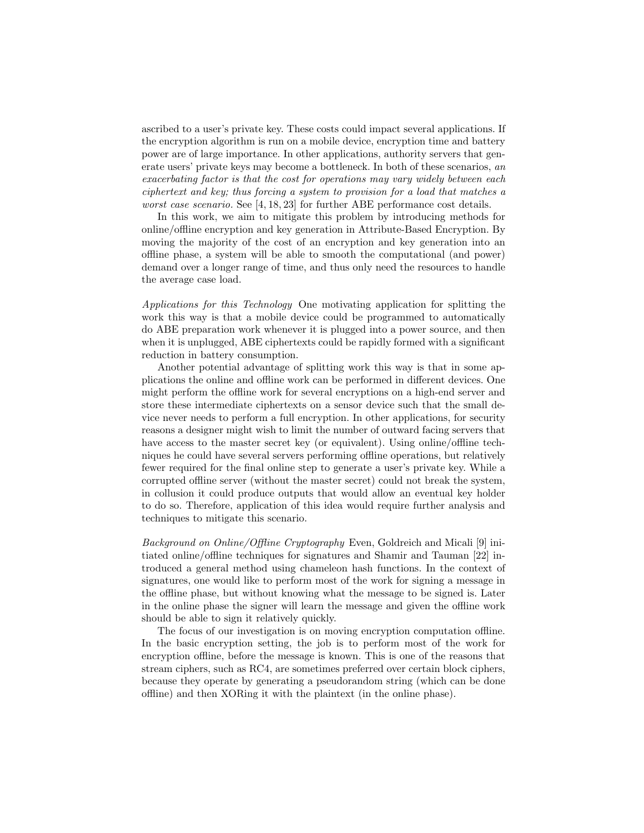ascribed to a user's private key. These costs could impact several applications. If the encryption algorithm is run on a mobile device, encryption time and battery power are of large importance. In other applications, authority servers that generate users' private keys may become a bottleneck. In both of these scenarios, an exacerbating factor is that the cost for operations may vary widely between each ciphertext and key; thus forcing a system to provision for a load that matches a worst case scenario. See [4, 18, 23] for further ABE performance cost details.

In this work, we aim to mitigate this problem by introducing methods for online/offline encryption and key generation in Attribute-Based Encryption. By moving the majority of the cost of an encryption and key generation into an offline phase, a system will be able to smooth the computational (and power) demand over a longer range of time, and thus only need the resources to handle the average case load.

Applications for this Technology One motivating application for splitting the work this way is that a mobile device could be programmed to automatically do ABE preparation work whenever it is plugged into a power source, and then when it is unplugged, ABE ciphertexts could be rapidly formed with a significant reduction in battery consumption.

Another potential advantage of splitting work this way is that in some applications the online and offline work can be performed in different devices. One might perform the offline work for several encryptions on a high-end server and store these intermediate ciphertexts on a sensor device such that the small device never needs to perform a full encryption. In other applications, for security reasons a designer might wish to limit the number of outward facing servers that have access to the master secret key (or equivalent). Using online/offline techniques he could have several servers performing offline operations, but relatively fewer required for the final online step to generate a user's private key. While a corrupted offline server (without the master secret) could not break the system, in collusion it could produce outputs that would allow an eventual key holder to do so. Therefore, application of this idea would require further analysis and techniques to mitigate this scenario.

Background on Online/Offline Cryptography Even, Goldreich and Micali [9] initiated online/offline techniques for signatures and Shamir and Tauman [22] introduced a general method using chameleon hash functions. In the context of signatures, one would like to perform most of the work for signing a message in the offline phase, but without knowing what the message to be signed is. Later in the online phase the signer will learn the message and given the offline work should be able to sign it relatively quickly.

The focus of our investigation is on moving encryption computation offline. In the basic encryption setting, the job is to perform most of the work for encryption offline, before the message is known. This is one of the reasons that stream ciphers, such as RC4, are sometimes preferred over certain block ciphers, because they operate by generating a pseudorandom string (which can be done offline) and then XORing it with the plaintext (in the online phase).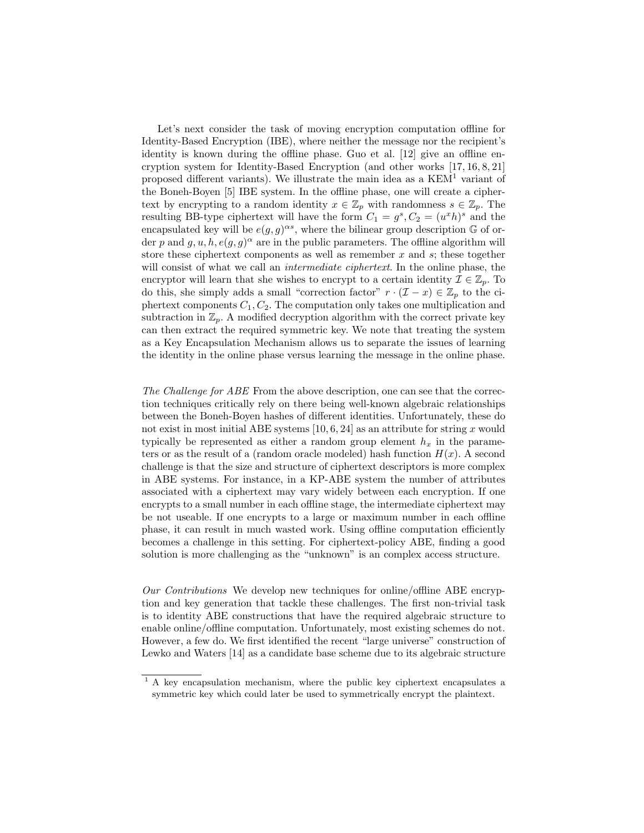Let's next consider the task of moving encryption computation offline for Identity-Based Encryption (IBE), where neither the message nor the recipient's identity is known during the offline phase. Guo et al. [12] give an offline encryption system for Identity-Based Encryption (and other works [17, 16, 8, 21] proposed different variants). We illustrate the main idea as a  $KEM<sup>1</sup>$  variant of the Boneh-Boyen [5] IBE system. In the offline phase, one will create a ciphertext by encrypting to a random identity  $x \in \mathbb{Z}_p$  with randomness  $s \in \mathbb{Z}_p$ . The resulting BB-type ciphertext will have the form  $C_1 = g^s, C_2 = (u^x h)^s$  and the encapsulated key will be  $e(g, g)^{\alpha s}$ , where the bilinear group description G of order p and  $g, u, h, e(g, g)^\alpha$  are in the public parameters. The offline algorithm will store these ciphertext components as well as remember  $x$  and  $s$ ; these together will consist of what we call an *intermediate ciphertext*. In the online phase, the encryptor will learn that she wishes to encrypt to a certain identity  $\mathcal{I} \in \mathbb{Z}_n$ . To do this, she simply adds a small "correction factor"  $r \cdot (I - x) \in \mathbb{Z}_p$  to the ciphertext components  $C_1, C_2$ . The computation only takes one multiplication and subtraction in  $\mathbb{Z}_p$ . A modified decryption algorithm with the correct private key can then extract the required symmetric key. We note that treating the system as a Key Encapsulation Mechanism allows us to separate the issues of learning the identity in the online phase versus learning the message in the online phase.

The Challenge for ABE From the above description, one can see that the correction techniques critically rely on there being well-known algebraic relationships between the Boneh-Boyen hashes of different identities. Unfortunately, these do not exist in most initial ABE systems  $[10, 6, 24]$  as an attribute for string x would typically be represented as either a random group element  $h_x$  in the parameters or as the result of a (random oracle modeled) hash function  $H(x)$ . A second challenge is that the size and structure of ciphertext descriptors is more complex in ABE systems. For instance, in a KP-ABE system the number of attributes associated with a ciphertext may vary widely between each encryption. If one encrypts to a small number in each offline stage, the intermediate ciphertext may be not useable. If one encrypts to a large or maximum number in each offline phase, it can result in much wasted work. Using offline computation efficiently becomes a challenge in this setting. For ciphertext-policy ABE, finding a good solution is more challenging as the "unknown" is an complex access structure.

Our Contributions We develop new techniques for online/offline ABE encryption and key generation that tackle these challenges. The first non-trivial task is to identity ABE constructions that have the required algebraic structure to enable online/offline computation. Unfortunately, most existing schemes do not. However, a few do. We first identified the recent "large universe" construction of Lewko and Waters [14] as a candidate base scheme due to its algebraic structure

<sup>&</sup>lt;sup>1</sup> A key encapsulation mechanism, where the public key ciphertext encapsulates a symmetric key which could later be used to symmetrically encrypt the plaintext.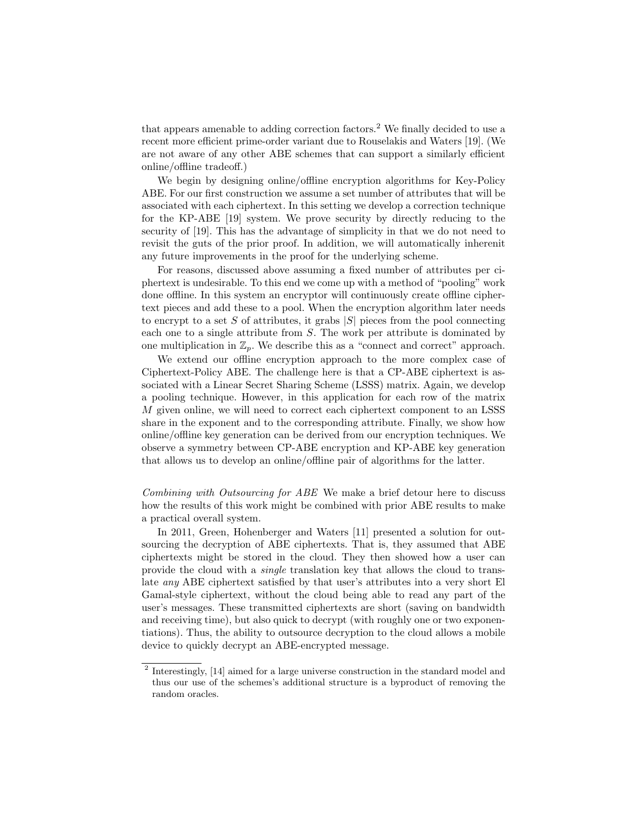that appears amenable to adding correction factors.<sup>2</sup> We finally decided to use a recent more efficient prime-order variant due to Rouselakis and Waters [19]. (We are not aware of any other ABE schemes that can support a similarly efficient online/offline tradeoff.)

We begin by designing online/offline encryption algorithms for Key-Policy ABE. For our first construction we assume a set number of attributes that will be associated with each ciphertext. In this setting we develop a correction technique for the KP-ABE [19] system. We prove security by directly reducing to the security of [19]. This has the advantage of simplicity in that we do not need to revisit the guts of the prior proof. In addition, we will automatically inherenit any future improvements in the proof for the underlying scheme.

For reasons, discussed above assuming a fixed number of attributes per ciphertext is undesirable. To this end we come up with a method of "pooling" work done offline. In this system an encryptor will continuously create offline ciphertext pieces and add these to a pool. When the encryption algorithm later needs to encrypt to a set S of attributes, it grabs  $|S|$  pieces from the pool connecting each one to a single attribute from S. The work per attribute is dominated by one multiplication in  $\mathbb{Z}_p$ . We describe this as a "connect and correct" approach.

We extend our offline encryption approach to the more complex case of Ciphertext-Policy ABE. The challenge here is that a CP-ABE ciphertext is associated with a Linear Secret Sharing Scheme (LSSS) matrix. Again, we develop a pooling technique. However, in this application for each row of the matrix M given online, we will need to correct each ciphertext component to an LSSS share in the exponent and to the corresponding attribute. Finally, we show how online/offline key generation can be derived from our encryption techniques. We observe a symmetry between CP-ABE encryption and KP-ABE key generation that allows us to develop an online/offline pair of algorithms for the latter.

Combining with Outsourcing for ABE We make a brief detour here to discuss how the results of this work might be combined with prior ABE results to make a practical overall system.

In 2011, Green, Hohenberger and Waters [11] presented a solution for outsourcing the decryption of ABE ciphertexts. That is, they assumed that ABE ciphertexts might be stored in the cloud. They then showed how a user can provide the cloud with a single translation key that allows the cloud to translate any ABE ciphertext satisfied by that user's attributes into a very short El Gamal-style ciphertext, without the cloud being able to read any part of the user's messages. These transmitted ciphertexts are short (saving on bandwidth and receiving time), but also quick to decrypt (with roughly one or two exponentiations). Thus, the ability to outsource decryption to the cloud allows a mobile device to quickly decrypt an ABE-encrypted message.

<sup>&</sup>lt;sup>2</sup> Interestingly, [14] aimed for a large universe construction in the standard model and thus our use of the schemes's additional structure is a byproduct of removing the random oracles.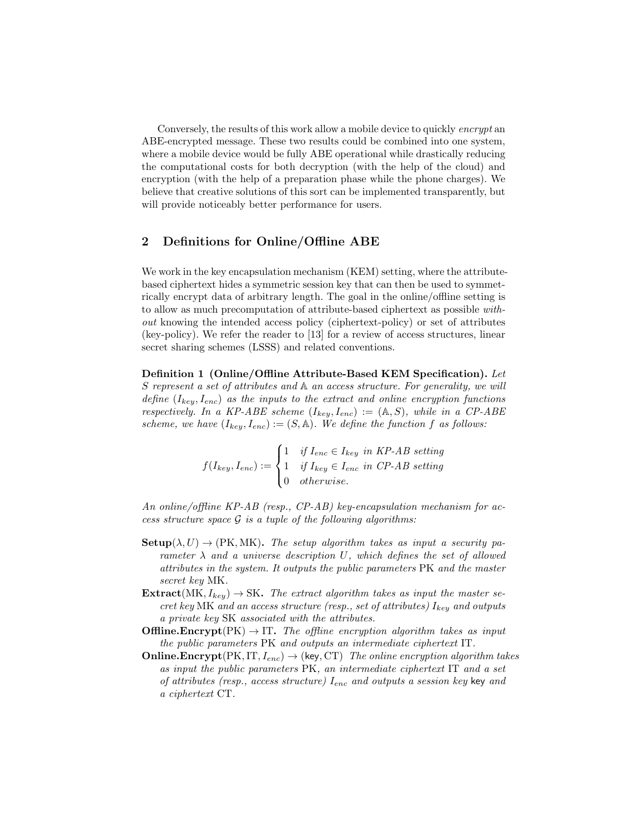Conversely, the results of this work allow a mobile device to quickly *encrypt* an ABE-encrypted message. These two results could be combined into one system, where a mobile device would be fully ABE operational while drastically reducing the computational costs for both decryption (with the help of the cloud) and encryption (with the help of a preparation phase while the phone charges). We believe that creative solutions of this sort can be implemented transparently, but will provide noticeably better performance for users.

# 2 Definitions for Online/Offline ABE

We work in the key encapsulation mechanism (KEM) setting, where the attributebased ciphertext hides a symmetric session key that can then be used to symmetrically encrypt data of arbitrary length. The goal in the online/offline setting is to allow as much precomputation of attribute-based ciphertext as possible without knowing the intended access policy (ciphertext-policy) or set of attributes (key-policy). We refer the reader to [13] for a review of access structures, linear secret sharing schemes (LSSS) and related conventions.

Definition 1 (Online/Offline Attribute-Based KEM Specification). Let  $S$  represent a set of attributes and  $A$  an access structure. For generality, we will define  $(I_{key}, I_{enc})$  as the inputs to the extract and online encryption functions respectively. In a KP-ABE scheme  $(I_{key}, I_{enc}) := (A, S)$ , while in a CP-ABE scheme, we have  $(I_{kev}, I_{enc}) := (S, \mathbb{A})$ . We define the function f as follows:

> $f(I_{key}, I_{enc}) :=$  $\sqrt{ }$  $\int$  $\overline{\mathcal{L}}$ 1 if  $I_{enc} \in I_{key}$  in KP-AB setting 1 if  $I_{key} \in I_{enc}$  in CP-AB setting 0 otherwise.

An online/offline KP-AB (resp., CP-AB) key-encapsulation mechanism for access structure space  $G$  is a tuple of the following algorithms:

- **. The setup algorithm takes as input a security pa**rameter  $\lambda$  and a universe description U, which defines the set of allowed attributes in the system. It outputs the public parameters PK and the master secret key MK.
- **Extract**(MK,  $I_{key}$ )  $\rightarrow$  SK. The extract algorithm takes as input the master secret key MK and an access structure (resp., set of attributes)  $I_{key}$  and outputs a private key SK associated with the attributes.
- **Offline.Encrypt**(PK)  $\rightarrow$  IT. The offline encryption algorithm takes as input the public parameters PK and outputs an intermediate ciphertext IT.
- **Online.Encrypt**(PK, IT,  $I_{enc}$ )  $\rightarrow$  (key, CT) The online encryption algorithm takes as input the public parameters PK, an intermediate ciphertext IT and a set of attributes (resp., access structure)  $I_{enc}$  and outputs a session key key and a ciphertext CT.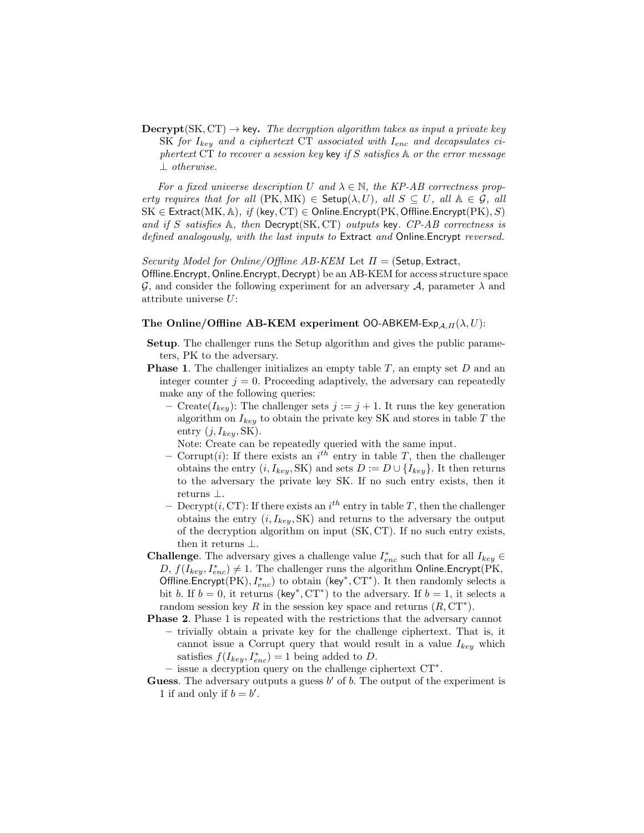**Decrypt**(SK, CT)  $\rightarrow$  key. The decryption algorithm takes as input a private key SK for  $I_{key}$  and a ciphertext CT associated with  $I_{enc}$  and decapsulates ciphertext CT to recover a session key key if S satisfies  $\mathbb A$  or the error message ⊥ otherwise.

For a fixed universe description U and  $\lambda \in \mathbb{N}$ , the KP-AB correctness property requires that for all  $(PK, MK) \in Setup(\lambda, U)$ , all  $S \subseteq U$ , all  $\mathbb{A} \in \mathcal{G}$ , all  $SK \in$  Extract(MK, A), if (key, CT)  $\in$  Online. Encrypt(PK, Offline. Encrypt(PK), S) and if S satisfies  $\mathbb A$ , then Decrypt(SK, CT) outputs key. CP-AB correctness is defined analogously, with the last inputs to Extract and Online. Encrypt reversed.

Security Model for Online/Offline AB-KEM Let  $\Pi =$  (Setup, Extract, Offline.Encrypt, Online.Encrypt, Decrypt) be an AB-KEM for access structure space  $\mathcal{G}$ , and consider the following experiment for an adversary  $\mathcal{A}$ , parameter  $\lambda$  and attribute universe U:

#### The Online/Offline AB-KEM experiment OO-ABKEM-Exp $_{A,H}(\lambda, U)$ :

Setup. The challenger runs the Setup algorithm and gives the public parameters, PK to the adversary.

- **Phase 1.** The challenger initializes an empty table  $T$ , an empty set  $D$  and an integer counter  $j = 0$ . Proceeding adaptively, the adversary can repeatedly make any of the following queries:
	- Create( $I_{key}$ ): The challenger sets  $j := j + 1$ . It runs the key generation algorithm on  $I_{key}$  to obtain the private key SK and stores in table T the entry  $(j, I_{key}, SK)$ .

Note: Create can be repeatedly queried with the same input.

- Corrupt(i): If there exists an  $i<sup>th</sup>$  entry in table T, then the challenger obtains the entry  $(i, I_{key}, \text{SK})$  and sets  $D := D \cup \{I_{key}\}.$  It then returns to the adversary the private key SK. If no such entry exists, then it returns ⊥.
- Decrypt(*i*, CT): If there exists an  $i^{th}$  entry in table T, then the challenger obtains the entry  $(i, I_{key}, SK)$  and returns to the adversary the output of the decryption algorithm on input (SK, CT). If no such entry exists, then it returns ⊥.
- **Challenge**. The adversary gives a challenge value  $I_{enc}^*$  such that for all  $I_{key} \in$ D,  $f(I_{key}, I_{enc}^*) \neq 1$ . The challenger runs the algorithm Online.Encrypt(PK, Offline.Encrypt(PK),  $I_{enc}^*$ ) to obtain (key<sup>\*</sup>, CT<sup>\*</sup>). It then randomly selects a bit b. If  $b = 0$ , it returns (key<sup>\*</sup>, CT<sup>\*</sup>) to the adversary. If  $b = 1$ , it selects a random session key R in the session key space and returns  $(R, CT^*)$ .
- **Phase 2.** Phase 1 is repeated with the restrictions that the adversary cannot – trivially obtain a private key for the challenge ciphertext. That is, it cannot issue a Corrupt query that would result in a value  $I_{key}$  which satisfies  $f(I_{key}, I_{enc}^*) = 1$  being added to D.
	- issue a decryption query on the challenge ciphertext CT<sup>∗</sup> .
- Guess. The adversary outputs a guess  $b'$  of  $b$ . The output of the experiment is 1 if and only if  $b = b'$ .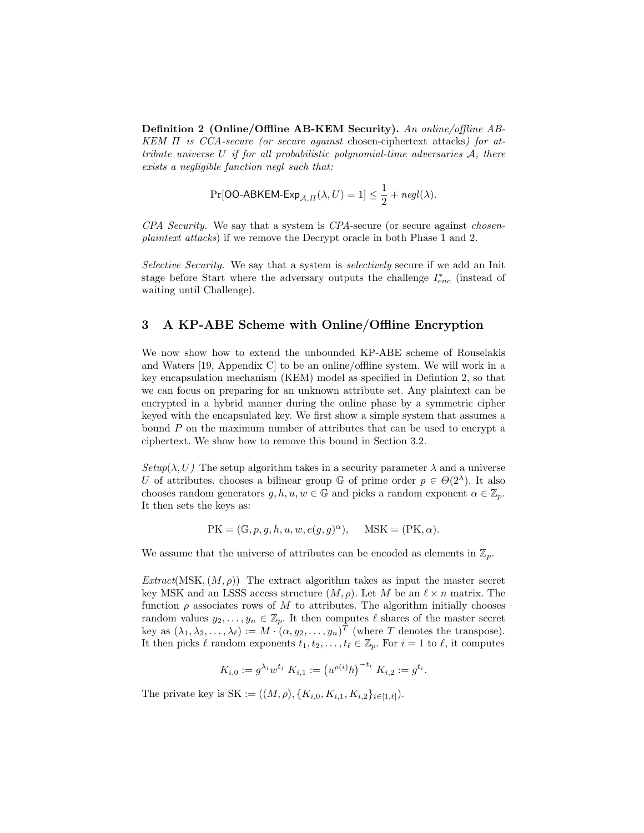Definition 2 (Online/Offline AB-KEM Security). An online/offline AB-KEM Π is CCA-secure (or secure against chosen-ciphertext attacks) for attribute universe U if for all probabilistic polynomial-time adversaries A, there exists a negligible function negl such that:

$$
\Pr[\mathsf{OO}\text{-}\mathsf{ABKEM}\text{-}\mathsf{Exp}_{\mathcal{A},\varPi}(\lambda,U)=1]\leq \frac{1}{2}+\mathit{negl}(\lambda).
$$

CPA Security. We say that a system is CPA-secure (or secure against chosenplaintext attacks) if we remove the Decrypt oracle in both Phase 1 and 2.

Selective Security. We say that a system is selectively secure if we add an Init stage before Start where the adversary outputs the challenge  $I_{enc}^*$  (instead of waiting until Challenge).

## 3 A KP-ABE Scheme with Online/Offline Encryption

We now show how to extend the unbounded KP-ABE scheme of Rouselakis and Waters [19, Appendix C] to be an online/offline system. We will work in a key encapsulation mechanism (KEM) model as specified in Defintion 2, so that we can focus on preparing for an unknown attribute set. Any plaintext can be encrypted in a hybrid manner during the online phase by a symmetric cipher keyed with the encapsulated key. We first show a simple system that assumes a bound  $P$  on the maximum number of attributes that can be used to encrypt a ciphertext. We show how to remove this bound in Section 3.2.

 $Setup(\lambda, U)$  The setup algorithm takes in a security parameter  $\lambda$  and a universe U of attributes. chooses a bilinear group  $\mathbb G$  of prime order  $p \in \Theta(2^{\lambda})$ . It also chooses random generators  $g, h, u, w \in \mathbb{G}$  and picks a random exponent  $\alpha \in \mathbb{Z}_p$ . It then sets the keys as:

$$
PK = (\mathbb{G}, p, g, h, u, w, e(g, g)^{\alpha}), \quad \text{MSK} = (\text{PK}, \alpha).
$$

We assume that the universe of attributes can be encoded as elements in  $\mathbb{Z}_p$ .

 $Extract(MSK,(M,\rho))$  The extract algorithm takes as input the master secret key MSK and an LSSS access structure  $(M, \rho)$ . Let M be an  $\ell \times n$  matrix. The function  $\rho$  associates rows of M to attributes. The algorithm initially chooses random values  $y_2, \ldots, y_n \in \mathbb{Z}_p$ . It then computes  $\ell$  shares of the master secret key as  $(\lambda_1, \lambda_2, \ldots, \lambda_\ell) := M \cdot (\alpha, y_2, \ldots, y_n)^T$  (where T denotes the transpose). It then picks  $\ell$  random exponents  $t_1, t_2, \ldots, t_\ell \in \mathbb{Z}_p$ . For  $i = 1$  to  $\ell$ , it computes

$$
K_{i,0} := g^{\lambda_i} w^{t_i} K_{i,1} := (w^{\rho(i)} h)^{-t_i} K_{i,2} := g^{t_i}.
$$

The private key is  $SK := ((M, \rho), \{K_{i,0}, K_{i,1}, K_{i,2}\}_{i \in [1,\ell]}).$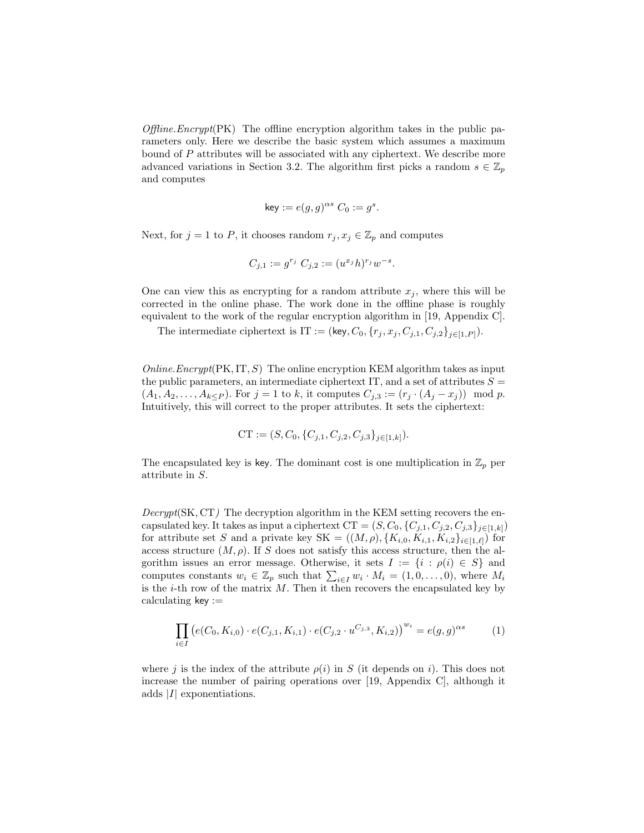$Offline. \,Encryption$  algorithm takes in the public parameters only. Here we describe the basic system which assumes a maximum bound of P attributes will be associated with any ciphertext. We describe more advanced variations in Section 3.2. The algorithm first picks a random  $s \in \mathbb{Z}_p$ and computes

$$
\text{key} := e(g, g)^{\alpha s} C_0 := g^s.
$$

Next, for  $j = 1$  to P, it chooses random  $r_j, x_j \in \mathbb{Z}_p$  and computes

$$
C_{j,1} := g^{r_j} C_{j,2} := (u^{x_j} h)^{r_j} w^{-s}.
$$

One can view this as encrypting for a random attribute  $x_i$ , where this will be corrected in the online phase. The work done in the offline phase is roughly equivalent to the work of the regular encryption algorithm in [19, Appendix C].

The intermediate ciphertext is IT := (key,  $C_0$ ,  $\{r_j, x_j, C_{j,1}, C_{j,2}\}_{j\in[1, P]}$ ).

 $Online. Encryption (PK, IT, S)$  The online encryption KEM algorithm takes as input the public parameters, an intermediate ciphertext IT, and a set of attributes  $S =$  $(A_1, A_2, \ldots, A_{k\leq P})$ . For  $j = 1$  to k, it computes  $C_{j,3} := (r_j \cdot (A_j - x_j)) \mod p$ . Intuitively, this will correct to the proper attributes. It sets the ciphertext:

$$
\mathcal{CT} := (S, C_0, \{C_{j,1}, C_{j,2}, C_{j,3}\}_{j \in [1,k]}).
$$

The encapsulated key is key. The dominant cost is one multiplication in  $\mathbb{Z}_p$  per attribute in S.

 $Decrypt(SK, CT)$  The decryption algorithm in the KEM setting recovers the encapsulated key. It takes as input a ciphertext  $CT = (S, C_0, \{C_{j,1}, C_{j,2}, C_{j,3}\}_{j \in [1,k]})$ for attribute set S and a private key  $SK = ((M, \rho), \{K_{i,0}, K_{i,1}, K_{i,2}\}_{i \in [1,\ell]})$  for access structure  $(M, \rho)$ . If S does not satisfy this access structure, then the algorithm issues an error message. Otherwise, it sets  $I := \{i : \rho(i) \in S\}$  and computes constants  $w_i \in \mathbb{Z}_p$  such that  $\sum_{i \in I} w_i \cdot M_i = (1, 0, \ldots, 0)$ , where  $M_i$ is the  $i$ -th row of the matrix  $M$ . Then it then recovers the encapsulated key by calculating  $key :=$ 

$$
\prod_{i \in I} \left( e(C_0, K_{i,0}) \cdot e(C_{j,1}, K_{i,1}) \cdot e(C_{j,2} \cdot u^{C_{j,3}}, K_{i,2}) \right)^{w_i} = e(g, g)^{\alpha s} \tag{1}
$$

where j is the index of the attribute  $\rho(i)$  in S (it depends on i). This does not increase the number of pairing operations over [19, Appendix C], although it adds  $|I|$  exponentiations.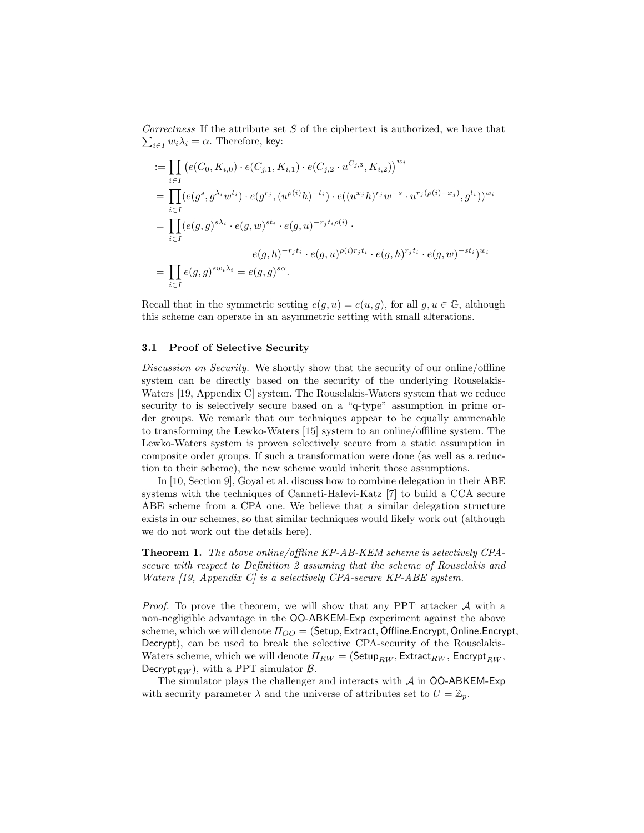Correctness If the attribute set  $S$  of the ciphertext is authorized, we have that  $\sum_{i\in I} w_i \lambda_i = \alpha$ . Therefore, key:

$$
:= \prod_{i \in I} (e(C_0, K_{i,0}) \cdot e(C_{j,1}, K_{i,1}) \cdot e(C_{j,2} \cdot u^{C_{j,3}}, K_{i,2}))^{w_i}
$$
  
\n
$$
= \prod_{i \in I} (e(g^s, g^{\lambda_i}w^{t_i}) \cdot e(g^{r_j}, (u^{\rho(i)}h)^{-t_i}) \cdot e((u^{x_j}h)^{r_j}w^{-s} \cdot u^{r_j(\rho(i)-x_j)}, g^{t_i}))^{w_i}
$$
  
\n
$$
= \prod_{i \in I} (e(g, g)^{s\lambda_i} \cdot e(g, w)^{st_i} \cdot e(g, u)^{-r_j t_i \rho(i)}.
$$
  
\n
$$
= \prod_{i \in I} e(g, g)^{sw_i\lambda_i} = e(g, g)^{s\alpha}.
$$

Recall that in the symmetric setting  $e(g, u) = e(u, g)$ , for all  $g, u \in \mathbb{G}$ , although this scheme can operate in an asymmetric setting with small alterations.

#### 3.1 Proof of Selective Security

Discussion on Security. We shortly show that the security of our online/offline system can be directly based on the security of the underlying Rouselakis-Waters [19, Appendix C] system. The Rouselakis-Waters system that we reduce security to is selectively secure based on a "q-type" assumption in prime order groups. We remark that our techniques appear to be equally ammenable to transforming the Lewko-Waters [15] system to an online/offiline system. The Lewko-Waters system is proven selectively secure from a static assumption in composite order groups. If such a transformation were done (as well as a reduction to their scheme), the new scheme would inherit those assumptions.

In [10, Section 9], Goyal et al. discuss how to combine delegation in their ABE systems with the techniques of Canneti-Halevi-Katz [7] to build a CCA secure ABE scheme from a CPA one. We believe that a similar delegation structure exists in our schemes, so that similar techniques would likely work out (although we do not work out the details here).

Theorem 1. The above online/offline KP-AB-KEM scheme is selectively CPAsecure with respect to Definition 2 assuming that the scheme of Rouselakis and Waters  $[19,$  Appendix C $]$  is a selectively CPA-secure KP-ABE system.

*Proof.* To prove the theorem, we will show that any PPT attacker  $A$  with a non-negligible advantage in the OO-ABKEM-Exp experiment against the above scheme, which we will denote  $\Pi_{OO}$  = (Setup, Extract, Offline. Encrypt, Online. Encrypt, Decrypt), can be used to break the selective CPA-security of the Rouselakis-Waters scheme, which we will denote  $\Pi_{RW} = ($ Setup $_{RW}$ , Extract $_{RW}$ , Encrypt $_{RW}$ , Decrypt<sub>RW</sub>), with a PPT simulator  $\beta$ .

The simulator plays the challenger and interacts with  $A$  in OO-ABKEM-Exp with security parameter  $\lambda$  and the universe of attributes set to  $U = \mathbb{Z}_p$ .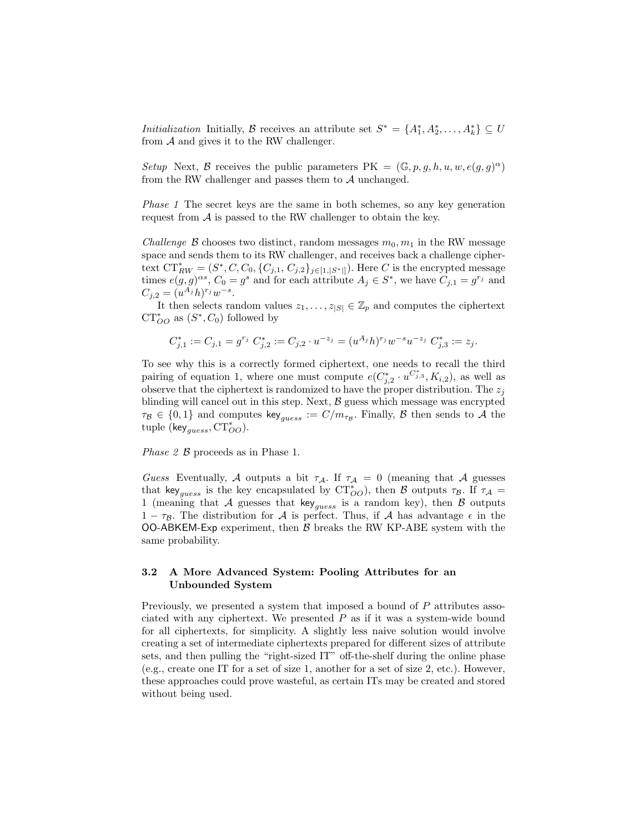*Initialization* Initially,  $\mathcal{B}$  receives an attribute set  $S^* = \{A_1^*, A_2^*, \ldots, A_k^*\} \subseteq U$ from  $A$  and gives it to the RW challenger.

Setup Next, B receives the public parameters PK =  $(\mathbb{G}, p, g, h, u, w, e(g, g)^{\alpha})$ from the RW challenger and passes them to  $A$  unchanged.

Phase 1 The secret keys are the same in both schemes, so any key generation request from  $A$  is passed to the RW challenger to obtain the key.

Challenge B chooses two distinct, random messages  $m_0, m_1$  in the RW message space and sends them to its RW challenger, and receives back a challenge ciphertext  $CT_{RW}^* = (S^*, C, C_0, \{C_{j,1}, C_{j,2}\}_{j \in [1, |S^*|]})$ . Here C is the encrypted message times  $e(g, g)^{\alpha s}$ ,  $C_0 = g^s$  and for each attribute  $A_j \in S^*$ , we have  $C_{j,1} = g^{r_j}$  and  $C_{j,2} = (u^{A_j}h)^{r_j}w^{-s}.$ 

It then selects random values  $z_1, \ldots, z_{|S|} \in \mathbb{Z}_p$  and computes the ciphertext CT<sup>\*</sup><sub>OO</sub> as  $(S^*, C_0)$  followed by

$$
C_{j,1}^* := C_{j,1} = g^{r_j} C_{j,2}^* := C_{j,2} \cdot u^{-z_j} = (u^{A_j} h)^{r_j} w^{-s} u^{-z_j} C_{j,3}^* := z_j.
$$

To see why this is a correctly formed ciphertext, one needs to recall the third pairing of equation 1, where one must compute  $e(C_{j,2}^* \cdot u^{C_{j,3}^*}, K_{i,2})$ , as well as observe that the ciphertext is randomized to have the proper distribution. The  $z_i$ blinding will cancel out in this step. Next,  $\beta$  guess which message was encrypted  $\tau_{\mathcal{B}} \in \{0,1\}$  and computes key<sub>guess</sub> :=  $C/m_{\tau_{\mathcal{B}}}$ . Finally,  $\mathcal{B}$  then sends to  $\mathcal{A}$  the tuple (key $_{guess}$ ,  $CT^*_{OO}$ ).

Phase 2 B proceeds as in Phase 1.

Guess Eventually, A outputs a bit  $\tau_A$ . If  $\tau_A = 0$  (meaning that A guesses that key<sub>guess</sub> is the key encapsulated by  $CT^*_{OO}$ , then B outputs  $\tau_{\mathcal{B}}$ . If  $\tau_{\mathcal{A}} =$ 1 (meaning that A guesses that  $key_{guess}$  is a random key), then B outputs  $1 - \tau_{\mathcal{B}}$ . The distribution for A is perfect. Thus, if A has advantage  $\epsilon$  in the OO-ABKEM-Exp experiment, then  $\beta$  breaks the RW KP-ABE system with the same probability.

### 3.2 A More Advanced System: Pooling Attributes for an Unbounded System

Previously, we presented a system that imposed a bound of P attributes associated with any ciphertext. We presented  $P$  as if it was a system-wide bound for all ciphertexts, for simplicity. A slightly less naive solution would involve creating a set of intermediate ciphertexts prepared for different sizes of attribute sets, and then pulling the "right-sized IT" off-the-shelf during the online phase (e.g., create one IT for a set of size 1, another for a set of size 2, etc.). However, these approaches could prove wasteful, as certain ITs may be created and stored without being used.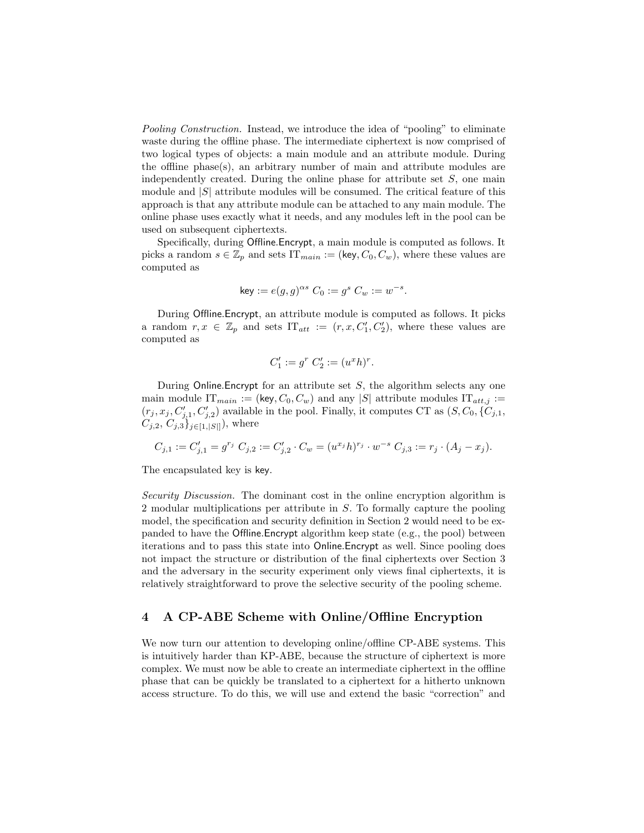Pooling Construction. Instead, we introduce the idea of "pooling" to eliminate waste during the offline phase. The intermediate ciphertext is now comprised of two logical types of objects: a main module and an attribute module. During the offline phase(s), an arbitrary number of main and attribute modules are independently created. During the online phase for attribute set  $S$ , one main module and  $|S|$  attribute modules will be consumed. The critical feature of this approach is that any attribute module can be attached to any main module. The online phase uses exactly what it needs, and any modules left in the pool can be used on subsequent ciphertexts.

Specifically, during Offline.Encrypt, a main module is computed as follows. It picks a random  $s \in \mathbb{Z}_p$  and sets  $IT_{main} := (key, C_0, C_w)$ , where these values are computed as

$$
\text{key} := e(g, g)^{\alpha s} C_0 := g^s C_w := w^{-s}.
$$

During Offline.Encrypt, an attribute module is computed as follows. It picks a random  $r, x \in \mathbb{Z}_p$  and sets  $\Pi_{att} := (r, x, C'_1, C'_2)$ , where these values are computed as

$$
C_1' := g^r C_2' := (u^x h)^r.
$$

During Online. Encrypt for an attribute set  $S$ , the algorithm selects any one main module  $IT_{main} :=$  (key,  $C_0, C_w$ ) and any |S| attribute modules  $IT_{att,j} :=$  $(r_j, x_j, C'_{j,1}, C'_{j,2})$  available in the pool. Finally, it computes CT as  $(S, C_0, \{C_{j,1}, C'_{j,2}\})$  $C_{j,2}$ ,  $C_{j,3}$ } $_{j\in[1,|S|]}$ , where

$$
C_{j,1} := C'_{j,1} = g^{r_j} C_{j,2} := C'_{j,2} \cdot C_w = (u^{x_j}h)^{r_j} \cdot w^{-s} C_{j,3} := r_j \cdot (A_j - x_j).
$$

The encapsulated key is key.

Security Discussion. The dominant cost in the online encryption algorithm is 2 modular multiplications per attribute in S. To formally capture the pooling model, the specification and security definition in Section 2 would need to be expanded to have the Offline.Encrypt algorithm keep state (e.g., the pool) between iterations and to pass this state into Online.Encrypt as well. Since pooling does not impact the structure or distribution of the final ciphertexts over Section 3 and the adversary in the security experiment only views final ciphertexts, it is relatively straightforward to prove the selective security of the pooling scheme.

## 4 A CP-ABE Scheme with Online/Offline Encryption

We now turn our attention to developing online/offline CP-ABE systems. This is intuitively harder than KP-ABE, because the structure of ciphertext is more complex. We must now be able to create an intermediate ciphertext in the offline phase that can be quickly be translated to a ciphertext for a hitherto unknown access structure. To do this, we will use and extend the basic "correction" and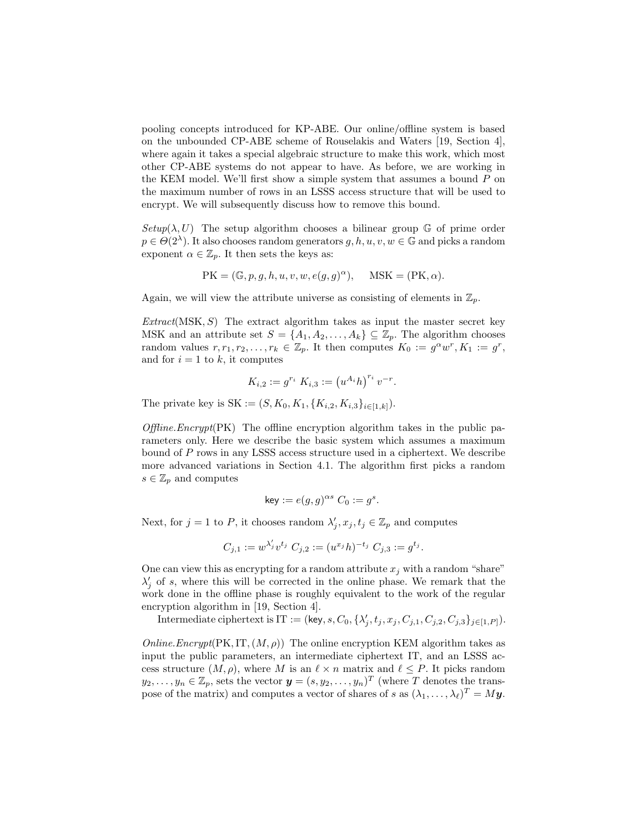pooling concepts introduced for KP-ABE. Our online/offline system is based on the unbounded CP-ABE scheme of Rouselakis and Waters [19, Section 4], where again it takes a special algebraic structure to make this work, which most other CP-ABE systems do not appear to have. As before, we are working in the KEM model. We'll first show a simple system that assumes a bound  $P$  on the maximum number of rows in an LSSS access structure that will be used to encrypt. We will subsequently discuss how to remove this bound.

 $Setup(\lambda, U)$  The setup algorithm chooses a bilinear group G of prime order  $p \in \Theta(2^{\lambda})$ . It also chooses random generators  $g, h, u, v, w \in \mathbb{G}$  and picks a random exponent  $\alpha \in \mathbb{Z}_p$ . It then sets the keys as:

$$
PK = (\mathbb{G}, p, g, h, u, v, w, e(g, g)^{\alpha}), \quad \text{MSK} = (\text{PK}, \alpha).
$$

Again, we will view the attribute universe as consisting of elements in  $\mathbb{Z}_p$ .

 $Extract(MSK, S)$  The extract algorithm takes as input the master secret key MSK and an attribute set  $S = \{A_1, A_2, \ldots, A_k\} \subseteq \mathbb{Z}_p$ . The algorithm chooses random values  $r, r_1, r_2, \ldots, r_k \in \mathbb{Z}_p$ . It then computes  $K_0 := g^{\alpha} w^r, K_1 := g^r$ , and for  $i = 1$  to k, it computes

$$
K_{i,2} := g^{r_i} K_{i,3} := (u^{A_i}h)^{r_i} v^{-r}.
$$

The private key is  $SK := (S, K_0, K_1, \{K_{i,2}, K_{i,3}\}_{i \in [1,k]})$ .

 $Offline. \text{Encrypt(PK)}$  The offline encryption algorithm takes in the public parameters only. Here we describe the basic system which assumes a maximum bound of P rows in any LSSS access structure used in a ciphertext. We describe more advanced variations in Section 4.1. The algorithm first picks a random  $s \in \mathbb{Z}_p$  and computes

$$
\text{key} := e(g, g)^{\alpha s} C_0 := g^s.
$$

Next, for  $j = 1$  to P, it chooses random  $\lambda'_j, x_j, t_j \in \mathbb{Z}_p$  and computes

$$
C_{j,1} := w^{\lambda'_j} v^{t_j} \ C_{j,2} := (u^{x_j}h)^{-t_j} \ C_{j,3} := g^{t_j}.
$$

One can view this as encrypting for a random attribute  $x_j$  with a random "share"  $\lambda'_j$  of s, where this will be corrected in the online phase. We remark that the work done in the offline phase is roughly equivalent to the work of the regular encryption algorithm in [19, Section 4].

Intermediate ciphertext is  $IT := (\text{key}, s, C_0, \{\lambda'_j, t_j, x_j, C_{j,1}, C_{j,2}, C_{j,3}\}_{j \in [1, P]}).$ 

Online. Encrypt(PK, IT,  $(M, \rho)$ ) The online encryption KEM algorithm takes as input the public parameters, an intermediate ciphertext IT, and an LSSS access structure  $(M, \rho)$ , where M is an  $\ell \times n$  matrix and  $\ell \leq P$ . It picks random  $y_2, \ldots, y_n \in \mathbb{Z}_p$ , sets the vector  $\boldsymbol{y} = (s, y_2, \ldots, y_n)^T$  (where T denotes the transpose of the matrix) and computes a vector of shares of s as  $(\lambda_1, \ldots, \lambda_\ell)^T = M \mathbf{y}$ .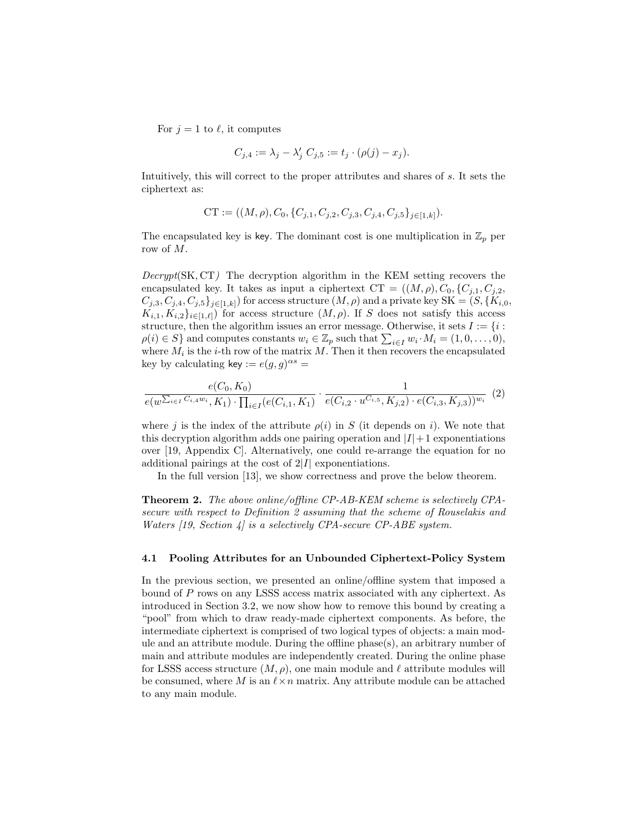For  $j = 1$  to  $\ell$ , it computes

$$
C_{j,4} := \lambda_j - \lambda'_j \ C_{j,5} := t_j \cdot (\rho(j) - x_j).
$$

Intuitively, this will correct to the proper attributes and shares of s. It sets the ciphertext as:

$$
\mathcal{CT} := ((M, \rho), C_0, \{C_{j,1}, C_{j,2}, C_{j,3}, C_{j,4}, C_{j,5}\}_{j \in [1,k]}).
$$

The encapsulated key is key. The dominant cost is one multiplication in  $\mathbb{Z}_p$  per row of M.

 $Decrypt(SK, CT)$  The decryption algorithm in the KEM setting recovers the encapsulated key. It takes as input a ciphertext  $CT = ((M, \rho), C_0, \{C_{j,1}, C_{j,2},$  $C_{j,3}, C_{j,4}, C_{j,5}$ <sub>j</sub> $\in$ [1,k]) for access structure  $(M, \rho)$  and a private key SK =  $(S, \{K_{i,0},$  $K_{i,1}, K_{i,2}$ <sub>i</sub> $\in$ [1, $\ell$ ]) for access structure  $(M, \rho)$ . If S does not satisfy this access structure, then the algorithm issues an error message. Otherwise, it sets  $I := \{i :$  $\rho(i) \in S$  and computes constants  $w_i \in \mathbb{Z}_p$  such that  $\sum_{i \in I} w_i \cdot M_i = (1, 0, \ldots, 0),$ where  $M_i$  is the *i*-th row of the matrix M. Then it then recovers the encapsulated key by calculating key :=  $e(g, g)^{\alpha s}$  =

$$
\frac{e(C_0, K_0)}{e(w^{\sum_{i \in I} C_{i,4}w_i}, K_1) \cdot \prod_{i \in I} (e(C_{i,1}, K_1)} \cdot \frac{1}{e(C_{i,2} \cdot u^{C_{i,5}}, K_{j,2}) \cdot e(C_{i,3}, K_{j,3}))^{w_i}}
$$
(2)

where j is the index of the attribute  $\rho(i)$  in S (it depends on i). We note that this decryption algorithm adds one pairing operation and  $|I|+1$  exponentiations over [19, Appendix C]. Alternatively, one could re-arrange the equation for no additional pairings at the cost of  $2|I|$  exponentiations.

In the full version [13], we show correctness and prove the below theorem.

Theorem 2. The above online/offline CP-AB-KEM scheme is selectively CPAsecure with respect to Definition 2 assuming that the scheme of Rouselakis and Waters  $(19, Section 4)$  is a selectively CPA-secure CP-ABE system.

#### 4.1 Pooling Attributes for an Unbounded Ciphertext-Policy System

In the previous section, we presented an online/offline system that imposed a bound of P rows on any LSSS access matrix associated with any ciphertext. As introduced in Section 3.2, we now show how to remove this bound by creating a "pool" from which to draw ready-made ciphertext components. As before, the intermediate ciphertext is comprised of two logical types of objects: a main module and an attribute module. During the offline phase(s), an arbitrary number of main and attribute modules are independently created. During the online phase for LSSS access structure  $(M, \rho)$ , one main module and  $\ell$  attribute modules will be consumed, where M is an  $\ell \times n$  matrix. Any attribute module can be attached to any main module.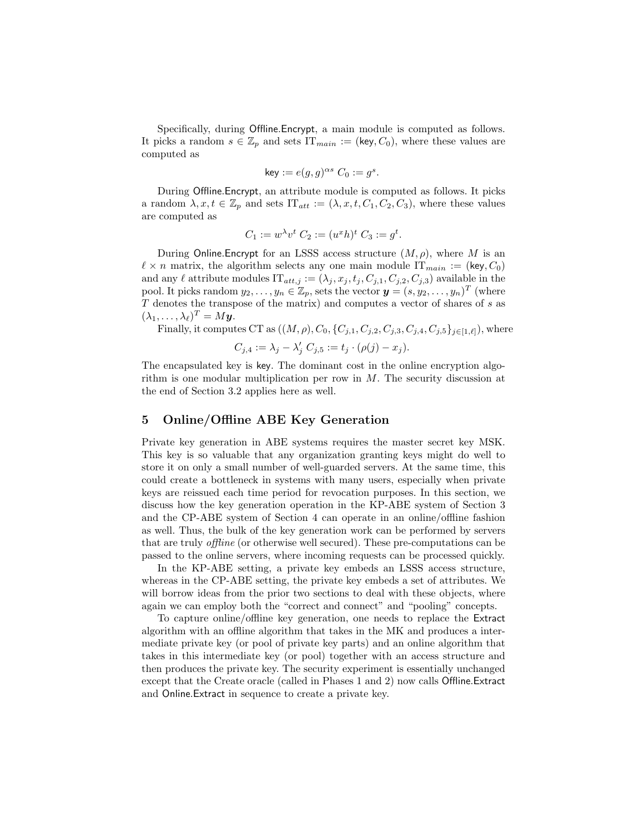Specifically, during Offline.Encrypt, a main module is computed as follows. It picks a random  $s \in \mathbb{Z}_p$  and sets  $\Pi_{main} := (\mathsf{key}, C_0)$ , where these values are computed as

$$
\mathsf{key} := e(g, g)^{\alpha s} C_0 := g^s.
$$

During Offline.Encrypt, an attribute module is computed as follows. It picks a random  $\lambda, x, t \in \mathbb{Z}_p$  and sets  $IT_{att} := (\lambda, x, t, C_1, C_2, C_3)$ , where these values are computed as

$$
C_1 := w^{\lambda} v^t C_2 := (u^x h)^t C_3 := g^t.
$$

During Online.Encrypt for an LSSS access structure  $(M, \rho)$ , where M is an  $\ell \times n$  matrix, the algorithm selects any one main module IT<sub>main</sub> := (key, C<sub>0</sub>) and any  $\ell$  attribute modules  $IT_{att,j} := (\lambda_j, x_j, t_j, C_{j,1}, C_{j,2}, C_{j,3})$  available in the pool. It picks random  $y_2, \ldots, y_n \in \mathbb{Z}_p$ , sets the vector  $\boldsymbol{y} = (s, y_2, \ldots, y_n)^T$  (where T denotes the transpose of the matrix) and computes a vector of shares of s as  $(\lambda_1, \ldots, \lambda_\ell)^T = M$ **y**.

Finally, it computes CT as  $((M, \rho), C_0, \{C_{j,1}, C_{j,2}, C_{j,3}, C_{j,4}, C_{j,5}\}_{j\in[1,\ell]}),$  where

$$
C_{j,4} := \lambda_j - \lambda'_j \ C_{j,5} := t_j \cdot (\rho(j) - x_j).
$$

The encapsulated key is key. The dominant cost in the online encryption algorithm is one modular multiplication per row in  $M$ . The security discussion at the end of Section 3.2 applies here as well.

## 5 Online/Offline ABE Key Generation

Private key generation in ABE systems requires the master secret key MSK. This key is so valuable that any organization granting keys might do well to store it on only a small number of well-guarded servers. At the same time, this could create a bottleneck in systems with many users, especially when private keys are reissued each time period for revocation purposes. In this section, we discuss how the key generation operation in the KP-ABE system of Section 3 and the CP-ABE system of Section 4 can operate in an online/offline fashion as well. Thus, the bulk of the key generation work can be performed by servers that are truly offline (or otherwise well secured). These pre-computations can be passed to the online servers, where incoming requests can be processed quickly.

In the KP-ABE setting, a private key embeds an LSSS access structure, whereas in the CP-ABE setting, the private key embeds a set of attributes. We will borrow ideas from the prior two sections to deal with these objects, where again we can employ both the "correct and connect" and "pooling" concepts.

To capture online/offline key generation, one needs to replace the Extract algorithm with an offline algorithm that takes in the MK and produces a intermediate private key (or pool of private key parts) and an online algorithm that takes in this intermediate key (or pool) together with an access structure and then produces the private key. The security experiment is essentially unchanged except that the Create oracle (called in Phases 1 and 2) now calls Offline.Extract and Online.Extract in sequence to create a private key.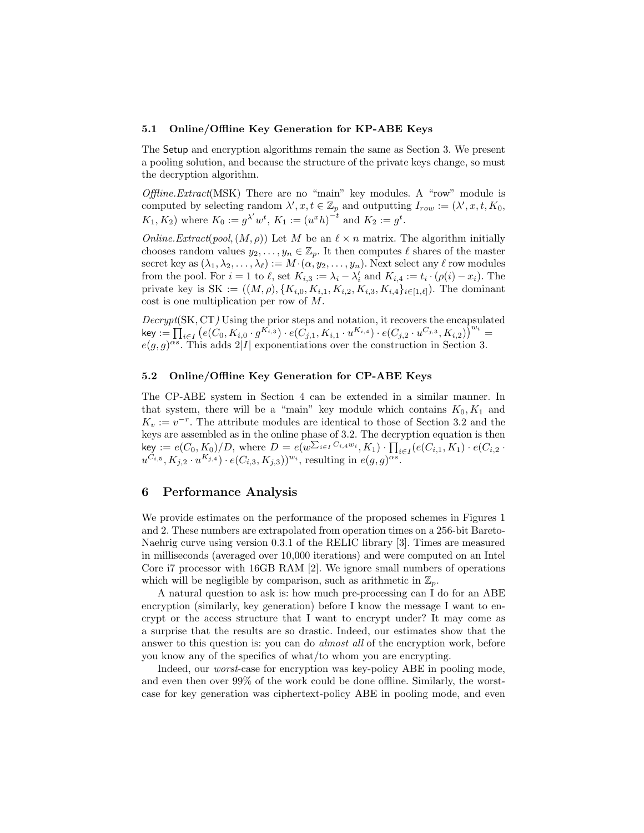#### 5.1 Online/Offline Key Generation for KP-ABE Keys

The Setup and encryption algorithms remain the same as Section 3. We present a pooling solution, and because the structure of the private keys change, so must the decryption algorithm.

 $Offline. Extract(MSK)$  There are no "main" key modules. A "row" module is computed by selecting random  $\lambda', x, t \in \mathbb{Z}_p$  and outputting  $I_{row} := (\lambda', x, t, K_0,$  $K_1, K_2$ ) where  $K_0 := g^{\lambda'} w^t$ ,  $K_1 := (u^x h)^{-t}$  and  $K_2 := g^t$ .

Online. Extract(pool,  $(M, \rho)$ ) Let M be an  $\ell \times n$  matrix. The algorithm initially chooses random values  $y_2, \ldots, y_n \in \mathbb{Z}_p$ . It then computes  $\ell$  shares of the master secret key as  $(\lambda_1, \lambda_2, \ldots, \lambda_\ell) := M \cdot (\alpha, y_2, \ldots, y_n)$ . Next select any  $\ell$  row modules from the pool. For  $i = 1$  to  $\ell$ , set  $K_{i,3} := \lambda_i - \lambda'_i$  and  $K_{i,4} := t_i \cdot (\rho(i) - x_i)$ . The private key is SK :=  $((M, \rho), \{K_{i,0}, K_{i,1}, K_{i,2}, K_{i,3}, K_{i,4}\}_{i \in [1,\ell]})$ . The dominant cost is one multiplication per row of M.

Decrypt(SK, CT) Using the prior steps and notation, it recovers the encapsulated  $\textsf{key} := \prod_{i \in I} \left(e(C_0, K_{i,0} \cdot g^{K_{i,3}}) \cdot e(C_{j,1}, K_{i,1} \cdot u^{K_{i,4}}) \cdot e(C_{j,2} \cdot u^{C_{j,3}}, K_{i,2})\right)^{w_i} =$  $e(g, g)^{\alpha s}$ . This adds 2|I| exponentiations over the construction in Section 3.

## 5.2 Online/Offline Key Generation for CP-ABE Keys

The CP-ABE system in Section 4 can be extended in a similar manner. In that system, there will be a "main" key module which contains  $K_0, K_1$  and  $K_v := v^{-r}$ . The attribute modules are identical to those of Section 3.2 and the keys are assembled as in the online phase of 3.2. The decryption equation is then key :=  $e(C_0, K_0)/D$ , where  $D = e(w^{\sum_{i \in I} C_{i,4}w_i}, K_1) \cdot \prod_{i \in I} (e(C_{i,1}, K_1) \cdot e(C_{i,2} \cdot$  $u^{C_{i,5}}, K_{j,2} \cdot u^{K_{j,4}} \cdot e(C_{i,3}, K_{j,3}))^{w_i}$ , resulting in  $e(g, g)^{\alpha s}$ .

### 6 Performance Analysis

We provide estimates on the performance of the proposed schemes in Figures 1 and 2. These numbers are extrapolated from operation times on a 256-bit Bareto-Naehrig curve using version 0.3.1 of the RELIC library [3]. Times are measured in milliseconds (averaged over 10,000 iterations) and were computed on an Intel Core i7 processor with 16GB RAM [2]. We ignore small numbers of operations which will be negligible by comparison, such as arithmetic in  $\mathbb{Z}_p$ .

A natural question to ask is: how much pre-processing can I do for an ABE encryption (similarly, key generation) before I know the message I want to encrypt or the access structure that I want to encrypt under? It may come as a surprise that the results are so drastic. Indeed, our estimates show that the answer to this question is: you can do *almost all* of the encryption work, before you know any of the specifics of what/to whom you are encrypting.

Indeed, our worst-case for encryption was key-policy ABE in pooling mode, and even then over 99% of the work could be done offline. Similarly, the worstcase for key generation was ciphertext-policy ABE in pooling mode, and even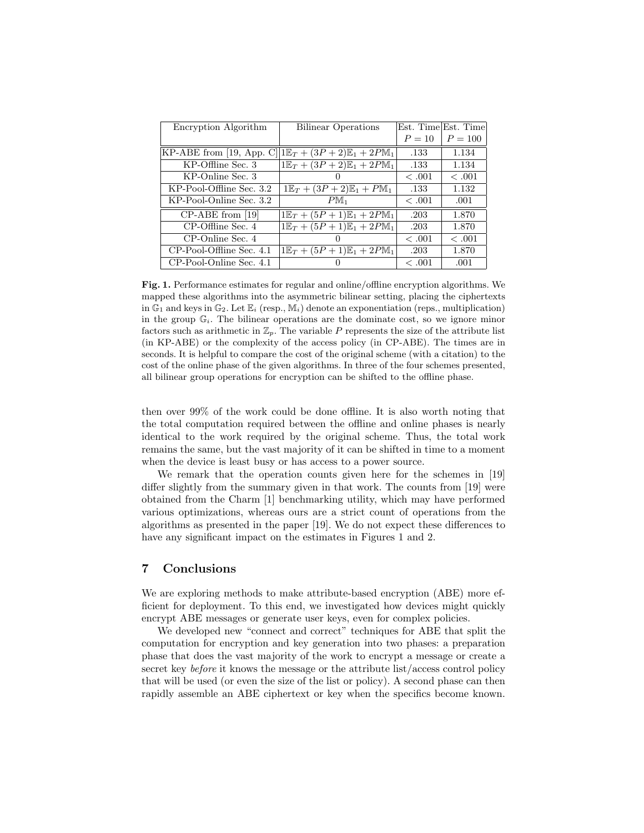| Encryption Algorithm        | <b>Bilinear Operations</b>                              |        | Est. Time Est. Time |
|-----------------------------|---------------------------------------------------------|--------|---------------------|
|                             |                                                         | $P=10$ | $P = 100$           |
| $KP-ABE$ from [19, App. C]  | $ 1\mathbb{E}_T+(3P+2)\mathbb{E}_1+2P\mathbb{M}_1 $     | .133   | 1.134               |
| $KP$ -Offline Sec. 3        | $1\mathbb{E}_T + (3P + 2)\mathbb{E}_1 + 2P\mathbb{M}_1$ | .133   | 1.134               |
| KP-Online Sec. 3            |                                                         | <.001  | < .001              |
| $KP-Pool-Offine$ Sec. 3.2   | $1\mathbb{E}_T+(3P+2)\mathbb{E}_1+P\mathbb{M}_1$        | .133   | 1.132               |
| KP-Pool-Online Sec. 3.2     | $PM_1$                                                  | <.001  | .001                |
| $CP-ABE$ from [19]          | $1\mathbb{E}_T + (5P + 1)\mathbb{E}_1 + 2P\mathbb{M}_1$ | .203   | 1.870               |
| CP-Offline Sec. 4           | $1\mathbb{E}_T + (5P + 1)\mathbb{E}_1 + 2P\mathbb{M}_1$ | .203   | 1.870               |
| CP-Online Sec. 4            | $\mathbf{0}$                                            | <.001  | <.001               |
| $CP$ -Pool-Offline Sec. 4.1 | $1\mathbb{E}_T + (5P + 1)\mathbb{E}_1 + 2P\mathbb{M}_1$ | .203   | 1.870               |
| CP-Pool-Online Sec. 4.1     |                                                         | <.001  | .001                |

Fig. 1. Performance estimates for regular and online/offline encryption algorithms. We mapped these algorithms into the asymmetric bilinear setting, placing the ciphertexts in  $\mathbb{G}_1$  and keys in  $\mathbb{G}_2$ . Let  $\mathbb{E}_i$  (resp.,  $\mathbb{M}_i$ ) denote an exponentiation (reps., multiplication) in the group  $\mathbb{G}_i$ . The bilinear operations are the dominate cost, so we ignore minor factors such as arithmetic in  $\mathbb{Z}_p$ . The variable P represents the size of the attribute list (in KP-ABE) or the complexity of the access policy (in CP-ABE). The times are in seconds. It is helpful to compare the cost of the original scheme (with a citation) to the cost of the online phase of the given algorithms. In three of the four schemes presented, all bilinear group operations for encryption can be shifted to the offline phase.

then over 99% of the work could be done offline. It is also worth noting that the total computation required between the offline and online phases is nearly identical to the work required by the original scheme. Thus, the total work remains the same, but the vast majority of it can be shifted in time to a moment when the device is least busy or has access to a power source.

We remark that the operation counts given here for the schemes in [19] differ slightly from the summary given in that work. The counts from [19] were obtained from the Charm [1] benchmarking utility, which may have performed various optimizations, whereas ours are a strict count of operations from the algorithms as presented in the paper [19]. We do not expect these differences to have any significant impact on the estimates in Figures 1 and 2.

# 7 Conclusions

We are exploring methods to make attribute-based encryption (ABE) more efficient for deployment. To this end, we investigated how devices might quickly encrypt ABE messages or generate user keys, even for complex policies.

We developed new "connect and correct" techniques for ABE that split the computation for encryption and key generation into two phases: a preparation phase that does the vast majority of the work to encrypt a message or create a secret key before it knows the message or the attribute list/access control policy that will be used (or even the size of the list or policy). A second phase can then rapidly assemble an ABE ciphertext or key when the specifics become known.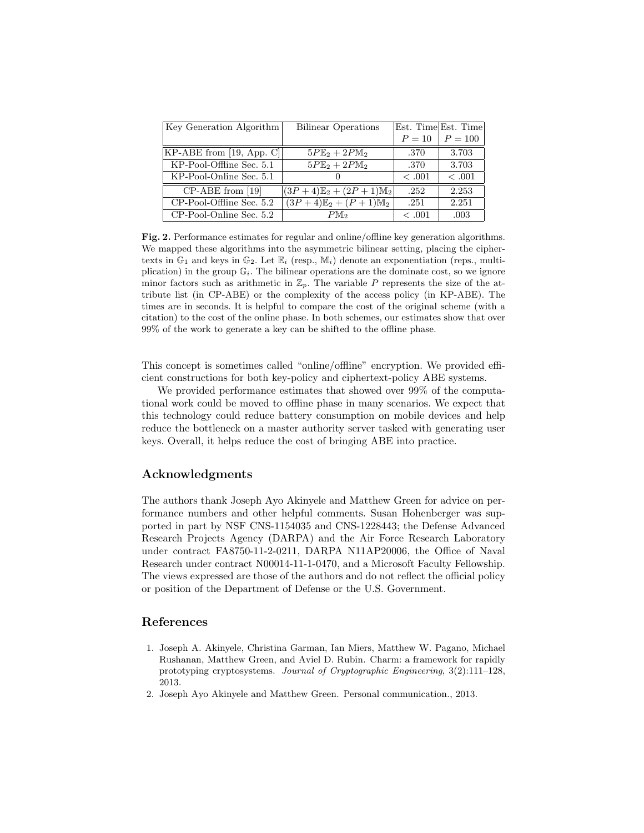| Key Generation Algorithm      | <b>Bilinear Operations</b>               |          | Est. Time Est. Time |
|-------------------------------|------------------------------------------|----------|---------------------|
|                               |                                          | $P = 10$ | $P = 100$           |
| $KP-ABE$ from [19, App. C]]   | $5P\mathbb{E}_2 + 2P\mathbb{M}_2$        | .370     | 3.703               |
| $KP-Pool-Offline$ Sec. $5.1$  | $5P\mathbb{E}_2 + 2P\mathbb{M}_2$        | .370     | 3.703               |
| KP-Pool-Online Sec. 5.1       |                                          | <.001    | <.001               |
| $CP-ABE$ from [19]            | $(3P+4)\mathbb{E}_2+(2P+1)\mathbb{M}_2$  | .252     | 2.253               |
| $CP$ -Pool-Offline Sec. $5.2$ | $(3P+4)\mathbb{E}_2 + (P+1)\mathbb{M}_2$ | .251     | 2.251               |
| $CP$ -Pool-Online Sec. $5.2$  | $PM_{2}$                                 | <.001    | .003                |

Fig. 2. Performance estimates for regular and online/offline key generation algorithms. We mapped these algorithms into the asymmetric bilinear setting, placing the ciphertexts in  $\mathbb{G}_1$  and keys in  $\mathbb{G}_2$ . Let  $\mathbb{E}_i$  (resp.,  $\mathbb{M}_i$ ) denote an exponentiation (reps., multiplication) in the group  $\mathbb{G}_i$ . The bilinear operations are the dominate cost, so we ignore minor factors such as arithmetic in  $\mathbb{Z}_p$ . The variable P represents the size of the attribute list (in CP-ABE) or the complexity of the access policy (in KP-ABE). The times are in seconds. It is helpful to compare the cost of the original scheme (with a citation) to the cost of the online phase. In both schemes, our estimates show that over 99% of the work to generate a key can be shifted to the offline phase.

This concept is sometimes called "online/offline" encryption. We provided efficient constructions for both key-policy and ciphertext-policy ABE systems.

We provided performance estimates that showed over 99% of the computational work could be moved to offline phase in many scenarios. We expect that this technology could reduce battery consumption on mobile devices and help reduce the bottleneck on a master authority server tasked with generating user keys. Overall, it helps reduce the cost of bringing ABE into practice.

# Acknowledgments

The authors thank Joseph Ayo Akinyele and Matthew Green for advice on performance numbers and other helpful comments. Susan Hohenberger was supported in part by NSF CNS-1154035 and CNS-1228443; the Defense Advanced Research Projects Agency (DARPA) and the Air Force Research Laboratory under contract FA8750-11-2-0211, DARPA N11AP20006, the Office of Naval Research under contract N00014-11-1-0470, and a Microsoft Faculty Fellowship. The views expressed are those of the authors and do not reflect the official policy or position of the Department of Defense or the U.S. Government.

# References

- 1. Joseph A. Akinyele, Christina Garman, Ian Miers, Matthew W. Pagano, Michael Rushanan, Matthew Green, and Aviel D. Rubin. Charm: a framework for rapidly prototyping cryptosystems. Journal of Cryptographic Engineering, 3(2):111–128, 2013.
- 2. Joseph Ayo Akinyele and Matthew Green. Personal communication., 2013.